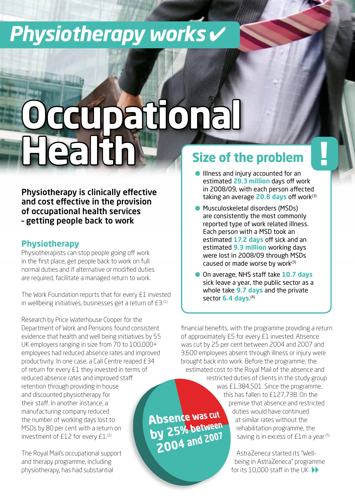## *Physiotherapy works* ✔

The contract of the contract of the contract of the contract of the contract of the contract of the contract of

# **Occupational Health**

Physiotherapy is clinically effective and cost effective in the provision of occupational health services – getting people back to work

### **Physiotherapy**

Physiotherapists can stop people going off work in the first place, get people back to work on full normal duties and if alternative or modified duties are required, facilitate a managed return to work.

The Work Foundation reports that for every £1 invested in wellbeing initiatives, businesses get a return of  $E3<sup>(1)</sup>$ 

Research by Price Waterhouse Cooper for the Department of Work and Pensions found consistent evidence that health and well being initiatives by 55 UK employers ranging in size from 70 to 100,000+ employees had reduced absence rates and improved productivity. In one case, a Call Centre reaped £34 of return for every £1 they invested in terms of reduced absence rates and improved staff retention through providing in house and discounted physiotherapy for their staff. In another instance, a manufacturing company reduced the number of working days lost to MSDs by 80 per cent with a return on investment of £12 for every £1.<sup>(2)</sup>

The Royal Mail's occupational support and therapy programme, including physiotherapy, has had substantial

## **Size of the problem**

- **.** Illness and injury accounted for an estimated **29.3 million** days off work in 2008/09, with each person affected taking an average **20.8 days** off work<sup>(3)</sup>
- Musculoskeletal disorders (MSDs) are consistently the most commonly reported type of work related illness. Each person with a MSD took an estimated **17.2 days** off sick and an estimated **9.3 million** working days were lost in 2008/09 through MSDs caused or made worse by work<sup>(3)</sup>
- On average, NHS staff take **10.7 days** sick leave a year, the public sector as a whole take **9.7 days** and the private sector **6.4 days**. (4)

financial benefits, with the programme providing a return of approximately £5 for every £1 invested. Absence was cut by 25 per cent between 2004 and 2007 and 3,600 employees absent through illness or injury were brought back into work. Before the programme, the estimated cost to the Royal Mail of the absence and

restricted duties of clients in the study group was £1,384,501. Since the programme, this has fallen to £127,738. On the premise that absence and restricted duties would have continued at similar rates without the rehabilitation programme, the saving is in excess of £1m a year.<sup>(5)</sup>

> for its 10,000 staff in the UK  $\blacktriangleright$ AstraZeneca started its "Wellbeing in AstraZeneca" programme

Absence was cut **Absence was car**<br>by 25% between y 25% between<br>2004 and 2007